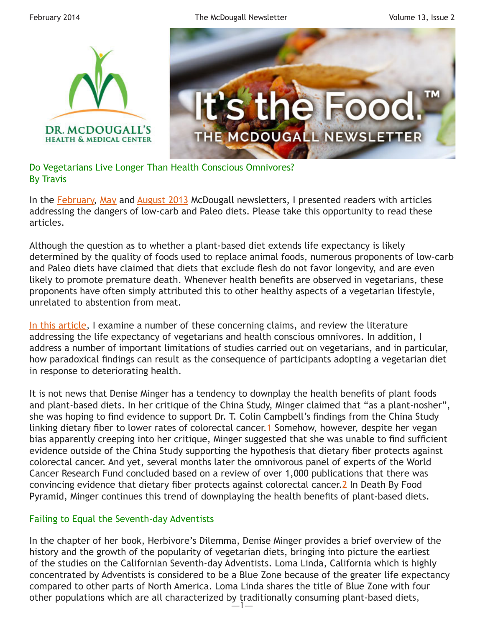

Do Vegetarians Live Longer Than Health Conscious Omnivores? By Travis

In the [February](http://www.drmcdougall.com/misc/2013nl/feb/travis.htm), [May](http://www.drmcdougall.com/misc/2013nl/may/travis.htm) and [August 2013](http://www.drmcdougall.com/misc/2013nl/aug/travis.htm) McDougall newsletters, I presented readers with articles addressing the dangers of low-carb and Paleo diets. Please take this opportunity to read these articles.

Although the question as to whether a plant-based diet extends life expectancy is likely determined by the quality of foods used to replace animal foods, numerous proponents of low-carb and Paleo diets have claimed that diets that exclude flesh do not favor longevity, and are even likely to promote premature death. Whenever health benefits are observed in vegetarians, these proponents have often simply attributed this to other healthy aspects of a vegetarian lifestyle, unrelated to abstention from meat.

[In this article](http://healthylongevity.blogspot.com/2014/02/death-by-veggiephobia.html), I examine a number of these concerning claims, and review the literature addressing the life expectancy of vegetarians and health conscious omnivores. In addition, I address a number of important limitations of studies carried out on vegetarians, and in particular, how paradoxical findings can result as the consequence of participants adopting a vegetarian diet in response to deteriorating health.

It is not news that Denise Minger has a tendency to downplay the health benefits of plant foods and plant-based diets. In her critique of the China Study, Minger claimed that "as a plant-nosher", she was hoping to find evidence to support Dr. T. Colin Campbell's findings from the China Study linking dietary fiber to lower rates of colorectal cancer. [1](http://rawfoodsos.com/2010/07/07/the-china-study-fact-or-fallac/) Somehow, however, despite her vegan bias apparently creeping into her critique, Minger suggested that she was unable to find sufficient evidence outside of the China Study supporting the hypothesis that dietary fiber protects against colorectal cancer. And yet, several months later the omnivorous panel of experts of the World Cancer Research Fund concluded based on a review of over 1,000 publications that there was convincing evidence that dietary fiber protects against colorectal cancer.[2](http://www.wcrf-uk.org/audience/media/press_release.php?recid=153) In Death By Food Pyramid, Minger continues this trend of downplaying the health benefits of plant-based diets.

## Failing to Equal the Seventh-day Adventists

 $-1-$ In the chapter of her book, Herbivore's Dilemma, Denise Minger provides a brief overview of the history and the growth of the popularity of vegetarian diets, bringing into picture the earliest of the studies on the Californian Seventh-day Adventists. Loma Linda, California which is highly concentrated by Adventists is considered to be a Blue Zone because of the greater life expectancy compared to other parts of North America. Loma Linda shares the title of Blue Zone with four other populations which are all characterized by traditionally consuming plant-based diets,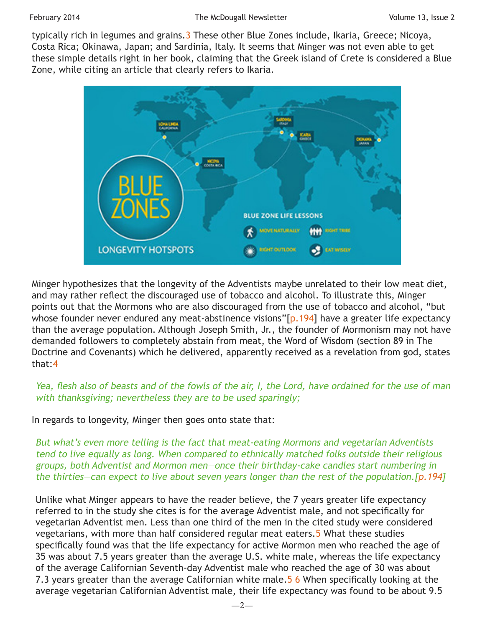typically rich in legumes and grains. 3 These other Blue Zones include, Ikaria, Greece; Nicoya, Costa Rica; Okinawa, Japan; and Sardinia, Italy. It seems that Minger was not even able to get these simple details right in her book, claiming that the Greek island of Crete is considered a Blue Zone, while citing an article that clearly refers to Ikaria.



Minger hypothesizes that the longevity of the Adventists maybe unrelated to their low meat diet, and may rather reflect the discouraged use of tobacco and alcohol. To illustrate this, Minger points out that the Mormons who are also discouraged from the use of tobacco and alcohol, "but whose founder never endured any meat-abstinence visions"[\[p.194](http://books.google.com/books?isbn=0984755128)] have a greater life expectancy than the average population. Although Joseph Smith, Jr., the founder of Mormonism may not have demanded followers to completely abstain from meat, the Word of Wisdom (section 89 in The Doctrine and Covenants) which he delivered, apparently received as a revelation from god, states that:[4](https://www.lds.org/scriptures/dc-testament/dc/89?lang=eng#)

## Yea, flesh also of beasts and of the fowls of the air, I, the Lord, have ordained for the use of man with thanksgiving; nevertheless they are to be used sparingly;

In regards to longevity, Minger then goes onto state that:

But what's even more telling is the fact that meat-eating Mormons and vegetarian Adventists tend to live equally as long. When compared to ethnically matched folks outside their religious groups, both Adventist and Mormon men—once their birthday-cake candles start numbering in the thirties—can expect to live about seven years longer than the rest of the population.[\[p.194](http://books.google.com/books?isbn=0984755128)]

Unlike what Minger appears to have the reader believe, the 7 years greater life expectancy referred to in the study she cites is for the average Adventist male, and not specifically for vegetarian Adventist men. Less than one third of the men in the cited study were considered vegetarians, with more than half considered regular meat eaters.[5](http://archinte.jamanetwork.com/article.aspx?volume=161&page=1645) What these studies specifically found was that the life expectancy for active Mormon men who reached the age of 35 was about 7.5 years greater than the average U.S. white male, whereas the life expectancy of the average Californian Seventh-day Adventist male who reached the age of 30 was about 7.3 years greater than the average Californian white male. [5](http://archinte.jamanetwork.com/article.aspx?volume=161&page=1645) [6](http://www.ncbi.nlm.nih.gov/pubmed/709540) When specifically looking at the average vegetarian Californian Adventist male, their life expectancy was found to be about 9.5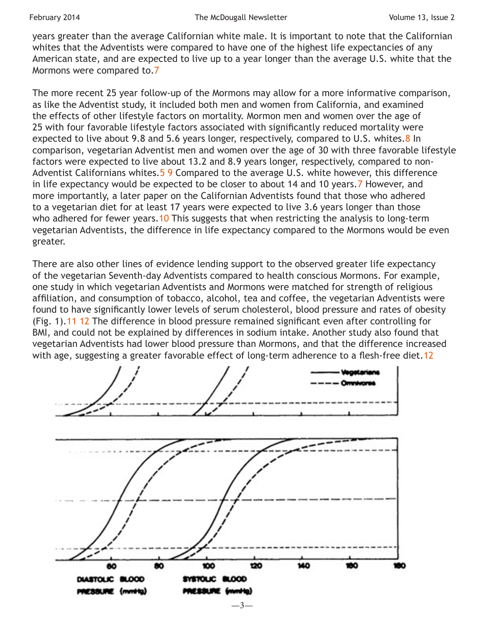years greater than the average Californian white male. It is important to note that the Californian whites that the Adventists were compared to have one of the highest life expectancies of any American state, and are expected to live up to a year longer than the average U.S. white that the Mormons were compared to.[7](http://www.cdc.gov/mmwr/preview/mmwrhtml/mm6228a1.htm)

The more recent 25 year follow-up of the Mormons may allow for a more informative comparison, as like the Adventist study, it included both men and women from California, and examined the effects of other lifestyle factors on mortality. Mormon men and women over the age of 25 with four favorable lifestyle factors associated with significantly reduced mortality were expected to live about 9.[8](http://www.ncbi.nlm.nih.gov/pubmed/17920112) and 5.6 years longer, respectively, compared to U.S. whites.8 In comparison, vegetarian Adventist men and women over the age of 30 with three favorable lifestyle factors were expected to live about 13.2 and 8.9 years longer, respectively, compared to non-Adventist Californians whites.<sup>[5](http://archinte.jamanetwork.com/article.aspx?volume=161&page=1645)</sup> [9](http://books.google.com/books?isbn=0199748802) Compared to the average U.S. white however, this difference in life expectancy would be expected to be closer to about 14 and 10 years.[7](http://www.cdc.gov/mmwr/preview/mmwrhtml/mm6228a1.htm) However, and more importantly, a later paper on the Californian Adventists found that those who adhered to a vegetarian diet for at least 17 years were expected to live 3.6 years longer than those who adhered for fewer years. [10](http://ajcn.nutrition.org/content/78/3/526S.full) This suggests that when restricting the analysis to long-term vegetarian Adventists, the difference in life expectancy compared to the Mormons would be even greater.

There are also other lines of evidence lending support to the observed greater life expectancy of the vegetarian Seventh-day Adventists compared to health conscious Mormons. For example, one study in which vegetarian Adventists and Mormons were matched for strength of religious affiliation, and consumption of tobacco, alcohol, tea and coffee, the vegetarian Adventists were found to have significantly lower levels of serum cholesterol, blood pressure and rates of obesity (Fig. 1)[.11](http://onlinelibrary.wiley.com/doi/10.1111/j.1445-5994.1984.tb03611.x/abstract) [12](http://ajcn.nutrition.org/content/48/3/806.short) The difference in blood pressure remained significant even after controlling for BMI, and could not be explained by differences in sodium intake. Another study also found that vegetarian Adventists had lower blood pressure than Mormons, and that the difference increased with age, suggesting a greater favorable effect of long-term adherence to a flesh-free diet. [12](http://ajcn.nutrition.org/content/48/3/806.short)

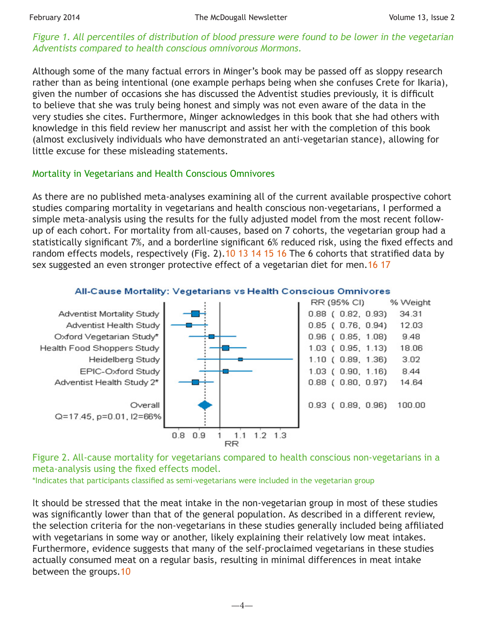## Figure 1. All percentiles of distribution of blood pressure were found to be lower in the vegetarian Adventists compared to health conscious omnivorous Mormons.

Although some of the many factual errors in Minger's book may be passed off as sloppy research rather than as being intentional (one example perhaps being when she confuses Crete for Ikaria), given the number of occasions she has discussed the Adventist studies previously, it is difficult to believe that she was truly being honest and simply was not even aware of the data in the very studies she cites. Furthermore, Minger acknowledges in this book that she had others with knowledge in this field review her manuscript and assist her with the completion of this book (almost exclusively individuals who have demonstrated an anti-vegetarian stance), allowing for little excuse for these misleading statements.

## Mortality in Vegetarians and Health Conscious Omnivores

As there are no published meta-analyses examining all of the current available prospective cohort studies comparing mortality in vegetarians and health conscious non-vegetarians, I performed a simple meta-analysis using the results for the fully adjusted model from the most recent followup of each cohort. For mortality from all-causes, based on 7 cohorts, the vegetarian group had a statistically significant 7%, and a borderline significant 6% reduced risk, using the fixed effects and random effects models, respectively (Fig. 2).[10](http://ajcn.nutrition.org/content/78/3/526S.full) [13](http://journals.cambridge.org/abstract_S1368980002000058) [14](http://cebp.aacrjournals.org/content/14/4/963.full) [15](http://ajcn.nutrition.org/content/89/5/1613S.long) [16](http://www.ncbi.nlm.nih.gov/pubmed/23836264) The 6 cohorts that stratified data by sex suggested an even stronger protective effect of a vegetarian diet for men. 16 [17](http://ajcn.nutrition.org/content/70/3/516s.full)



#### All-Cause Mortality: Vegetarians vs Health Conscious Omnivores

Figure 2. All-cause mortality for vegetarians compared to health conscious non-vegetarians in a meta-analysis using the fixed effects model.

\*Indicates that participants classified as semi-vegetarians were included in the vegetarian group

It should be stressed that the meat intake in the non-vegetarian group in most of these studies was significantly lower than that of the general population. As described in a different review, the selection criteria for the non-vegetarians in these studies generally included being affiliated with vegetarians in some way or another, likely explaining their relatively low meat intakes. Furthermore, evidence suggests that many of the self-proclaimed vegetarians in these studies actually consumed meat on a regular basis, resulting in minimal differences in meat intake between the groups[.10](http://ajcn.nutrition.org/content/78/3/526S.full)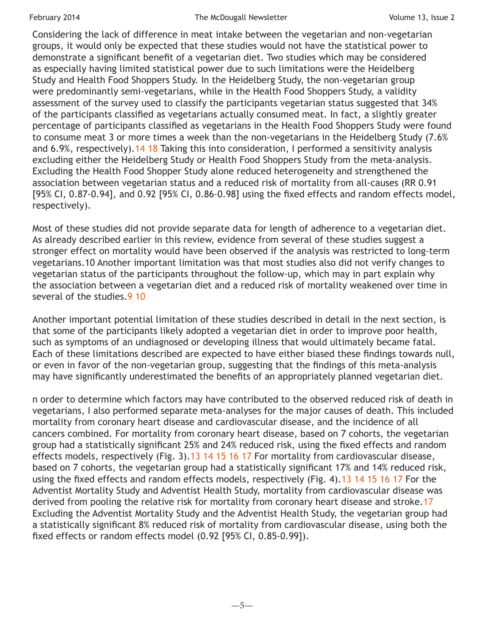Considering the lack of difference in meat intake between the vegetarian and non-vegetarian groups, it would only be expected that these studies would not have the statistical power to demonstrate a significant benefit of a vegetarian diet. Two studies which may be considered as especially having limited statistical power due to such limitations were the Heidelberg Study and Health Food Shoppers Study. In the Heidelberg Study, the non-vegetarian group were predominantly semi-vegetarians, while in the Health Food Shoppers Study, a validity assessment of the survey used to classify the participants vegetarian status suggested that 34% of the participants classified as vegetarians actually consumed meat. In fact, a slightly greater percentage of participants classified as vegetarians in the Health Food Shoppers Study were found to consume meat 3 or more times a week than the non-vegetarians in the Heidelberg Study (7.6% and 6.9%, respectively). [14](http://cebp.aacrjournals.org/content/14/4/963.full) [18](http://ajcn.nutrition.org/content/36/5/873.abstract) Taking this into consideration, I performed a sensitivity analysis excluding either the Heidelberg Study or Health Food Shoppers Study from the meta-analysis. Excluding the Health Food Shopper Study alone reduced heterogeneity and strengthened the association between vegetarian status and a reduced risk of mortality from all-causes (RR 0.91 [95% CI, 0.87-0.94], and 0.92 [95% CI, 0.86-0.98] using the fixed effects and random effects model, respectively).

Most of these studies did not provide separate data for length of adherence to a vegetarian diet. As already described earlier in this review, evidence from several of these studies suggest a stronger effect on mortality would have been observed if the analysis was restricted to long-term vegetarians.10 Another important limitation was that most studies also did not verify changes to vegetarian status of the participants throughout the follow-up, which may in part explain why the association between a vegetarian diet and a reduced risk of mortality weakened over time in several of the studies. [9](http://books.google.com/books?isbn=0199748802) [10](http://ajcn.nutrition.org/content/78/3/526S.full)

Another important potential limitation of these studies described in detail in the next section, is that some of the participants likely adopted a vegetarian diet in order to improve poor health, such as symptoms of an undiagnosed or developing illness that would ultimately became fatal. Each of these limitations described are expected to have either biased these findings towards null, or even in favor of the non-vegetarian group, suggesting that the findings of this meta-analysis may have significantly underestimated the benefits of an appropriately planned vegetarian diet.

n order to determine which factors may have contributed to the observed reduced risk of death in vegetarians, I also performed separate meta-analyses for the major causes of death. This included mortality from coronary heart disease and cardiovascular disease, and the incidence of all cancers combined. For mortality from coronary heart disease, based on 7 cohorts, the vegetarian group had a statistically significant 25% and 24% reduced risk, using the fixed effects and random effects models, respectively (Fig. 3)[.13](http://journals.cambridge.org/abstract_S1368980002000058) [14](http://cebp.aacrjournals.org/content/14/4/963.full) [15](http://ajcn.nutrition.org/content/89/5/1613S.long) [16](http://www.ncbi.nlm.nih.gov/pubmed/23836264) [17](http://ajcn.nutrition.org/content/70/3/516s.full) For mortality from cardiovascular disease, based on 7 cohorts, the vegetarian group had a statistically significant 17% and 14% reduced risk, using the fixed effects and random effects models, respectively (Fig. 4).[13](http://journals.cambridge.org/abstract_S1368980002000058) [14](http://cebp.aacrjournals.org/content/14/4/963.full) [15](http://ajcn.nutrition.org/content/89/5/1613S.long) [16](http://www.ncbi.nlm.nih.gov/pubmed/23836264) [17](http://ajcn.nutrition.org/content/70/3/516s.full) For the Adventist Mortality Study and Adventist Health Study, mortality from cardiovascular disease was derived from pooling the relative risk for mortality from coronary heart disease and stroke. [17](http://ajcn.nutrition.org/content/70/3/516s.full) Excluding the Adventist Mortality Study and the Adventist Health Study, the vegetarian group had a statistically significant 8% reduced risk of mortality from cardiovascular disease, using both the fixed effects or random effects model (0.92 [95% CI, 0.85-0.99]).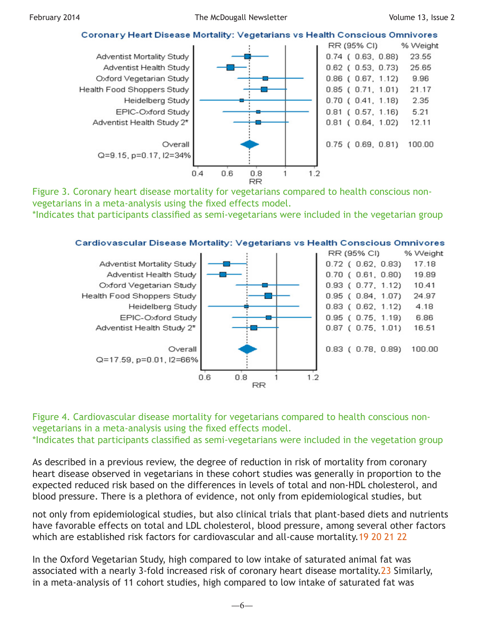### Coronary Heart Disease Mortality: Vegetarians vs Health Conscious Omnivores



Figure 3. Coronary heart disease mortality for vegetarians compared to health conscious nonvegetarians in a meta-analysis using the fixed effects model.

\*Indicates that participants classified as semi-vegetarians were included in the vegetarian group



#### Cardiovascular Disease Mortality: Vegetarians vs Health Conscious Omnivores

Figure 4. Cardiovascular disease mortality for vegetarians compared to health conscious nonvegetarians in a meta-analysis using the fixed effects model. \*Indicates that participants classified as semi-vegetarians were included in the vegetation group

As described in a previous review, the degree of reduction in risk of mortality from coronary heart disease observed in vegetarians in these cohort studies was generally in proportion to the expected reduced risk based on the differences in levels of total and non-HDL cholesterol, and blood pressure. There is a plethora of evidence, not only from epidemiological studies, but

not only from epidemiological studies, but also clinical trials that plant-based diets and nutrients have favorable effects on total and LDL cholesterol, blood pressure, among several other factors which are established risk factors for cardiovascular and all-cause mortality.[19](http://www.ncbi.nlm.nih.gov/pmc/articles/PMC2645847/) [20](http://www.ncbi.nlm.nih.gov/pmc/articles/PMC2988224/) [21](http://www.thelancet.com/journals/lancet/article/PIIS0140673607617784/abstract) [22](http://www.bmj.com/content/338/bmj.b1665)

In the Oxford Vegetarian Study, high compared to low intake of saturated animal fat was associated with a nearly 3-fold increased risk of coronary heart disease mortality[.23](http://www.ncbi.nlm.nih.gov/pubmed/9415002) Similarly, in a meta-analysis of 11 cohort studies, high compared to low intake of saturated fat was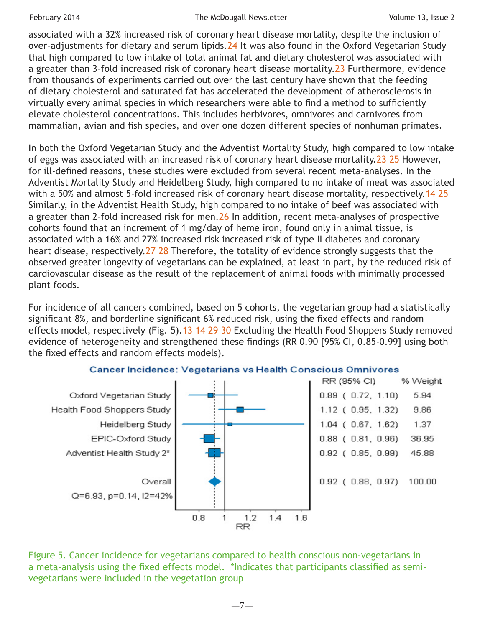associated with a 32% increased risk of coronary heart disease mortality, despite the inclusion of over-adjustments for dietary and serum lipids.<sup>24</sup> It was also found in the Oxford Vegetarian Study that high compared to low intake of total animal fat and dietary cholesterol was associated with a greater than 3-fold increased risk of coronary heart disease mortality. 23 Furthermore, evidence from thousands of experiments carried out over the last century have shown that the feeding of dietary cholesterol and saturated fat has accelerated the development of atherosclerosis in virtually every animal species in which researchers were able to find a method to sufficiently elevate cholesterol concentrations. This includes herbivores, omnivores and carnivores from mammalian, avian and fish species, and over one dozen different species of nonhuman primates.

In both the Oxford Vegetarian Study and the Adventist Mortality Study, high compared to low intake of eggs was associated with an increased risk of coronary heart disease mortality.[23](http://www.ncbi.nlm.nih.gov/pubmed/9415002) [25](http://ajcn.nutrition.org/content/48/3/739.long) However, for ill-defined reasons, these studies were excluded from several recent meta-analyses. In the Adventist Mortality Study and Heidelberg Study, high compared to no intake of meat was associated with a 50% and almost 5-fold increased risk of coronary heart disease mortality, respectively.[14](http://cebp.aacrjournals.org/content/14/4/963.full) [25](http://ajcn.nutrition.org/content/48/3/739.long) Similarly, in the Adventist Health Study, high compared to no intake of beef was associated with a greater than 2-fold increased risk for men. [26](http://ajcn.nutrition.org/content/70/3/532s.full) In addition, recent meta-analyses of prospective cohorts found that an increment of 1 mg/day of heme iron, found only in animal tissue, is associated with a 16% and 27% increased risk increased risk of type II diabetes and coronary heart disease, respectively.[27](http://www.biomedcentral.com/1741-7015/10/119) [28](http://www.ncbi.nlm.nih.gov/pubmed/23708150) Therefore, the totality of evidence strongly suggests that the observed greater longevity of vegetarians can be explained, at least in part, by the reduced risk of cardiovascular disease as the result of the replacement of animal foods with minimally processed plant foods.

For incidence of all cancers combined, based on 5 cohorts, the vegetarian group had a statistically significant 8%, and borderline significant 6% reduced risk, using the fixed effects and random effects model, respectively (Fig. 5).[13](http://journals.cambridge.org/abstract_S1368980002000058) [14](http://cebp.aacrjournals.org/content/14/4/963.full) [29](http://www.nature.com/bjc/journal/v101/n1/full/6605098a.html) [30](http://cebp.aacrjournals.org/content/22/2/286.long) Excluding the Health Food Shoppers Study removed evidence of heterogeneity and strengthened these findings (RR 0.90 [95% CI, 0.85-0.99] using both the fixed effects and random effects models).



#### **Cancer Incidence: Vegetarians vs Health Conscious Omnivores**

Figure 5. Cancer incidence for vegetarians compared to health conscious non-vegetarians in a meta-analysis using the fixed effects model. \*Indicates that participants classified as semivegetarians were included in the vegetation group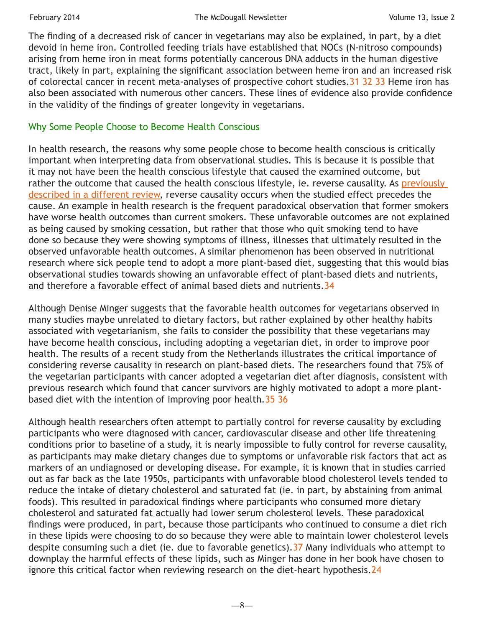The finding of a decreased risk of cancer in vegetarians may also be explained, in part, by a diet devoid in heme iron. Controlled feeding trials have established that NOCs (N-nitroso compounds) arising from heme iron in meat forms potentially cancerous DNA adducts in the human digestive tract, likely in part, explaining the significant association between heme iron and an increased risk of colorectal cancer in recent meta-analyses of prospective cohort studies.[31](http://cancerres.aacrjournals.org/content/63/10/2358.long) [32](http://cancerres.aacrjournals.org/content/66/3/1859.long) [33](http://www.ncbi.nlm.nih.gov/pubmed/23568532) Heme iron has also been associated with numerous other cancers. These lines of evidence also provide confidence in the validity of the findings of greater longevity in vegetarians.

## Why Some People Choose to Become Health Conscious

In health research, the reasons why some people chose to become health conscious is critically important when interpreting data from observational studies. This is because it is possible that it may not have been the health conscious lifestyle that caused the examined outcome, but rather the outcome that caused the health conscious lifestyle, ie. reverse causality. As previously [described in a different review,](http://healthylongevity.blogspot.com/2013/02/diet-heart-vegetarian-diets.html) reverse causality occurs when the studied effect precedes the cause. An example in health research is the frequent paradoxical observation that former smokers have worse health outcomes than current smokers. These unfavorable outcomes are not explained as being caused by smoking cessation, but rather that those who quit smoking tend to have done so because they were showing symptoms of illness, illnesses that ultimately resulted in the observed unfavorable health outcomes. A similar phenomenon has been observed in nutritional research where sick people tend to adopt a more plant-based diet, suggesting that this would bias observational studies towards showing an unfavorable effect of plant-based diets and nutrients, and therefore a favorable effect of animal based diets and nutrients.[34](http://books.google.com/books?isbn=0849385083)

Although Denise Minger suggests that the favorable health outcomes for vegetarians observed in many studies maybe unrelated to dietary factors, but rather explained by other healthy habits associated with vegetarianism, she fails to consider the possibility that these vegetarians may have become health conscious, including adopting a vegetarian diet, in order to improve poor health. The results of a recent study from the Netherlands illustrates the critical importance of considering reverse causality in research on plant-based diets. The researchers found that 75% of the vegetarian participants with cancer adopted a vegetarian diet after diagnosis, consistent with previous research which found that cancer survivors are highly motivated to adopt a more plantbased diet with the intention of improving poor health.[35](http://www.nutritionj.com/content/12/1/156) [36](http://www.ncbi.nlm.nih.gov/pubmed/12616253)

Although health researchers often attempt to partially control for reverse causality by excluding participants who were diagnosed with cancer, cardiovascular disease and other life threatening conditions prior to baseline of a study, it is nearly impossible to fully control for reverse causality, as participants may make dietary changes due to symptoms or unfavorable risk factors that act as markers of an undiagnosed or developing disease. For example, it is known that in studies carried out as far back as the late 1950s, participants with unfavorable blood cholesterol levels tended to reduce the intake of dietary cholesterol and saturated fat (ie. in part, by abstaining from animal foods). This resulted in paradoxical findings where participants who consumed more dietary cholesterol and saturated fat actually had lower serum cholesterol levels. These paradoxical findings were produced, in part, because those participants who continued to consume a diet rich in these lipids were choosing to do so because they were able to maintain lower cholesterol levels despite consuming such a diet (ie. due to favorable genetics). [37](http://aje.oxfordjournals.org/content/115/4/506.short) Many individuals who attempt to downplay the harmful effects of these lipids, such as Minger has done in her book have chosen to ignore this critical factor when reviewing research on the diet-heart hypothesis. [24](http://ajcn.nutrition.org/content/91/3/497.full)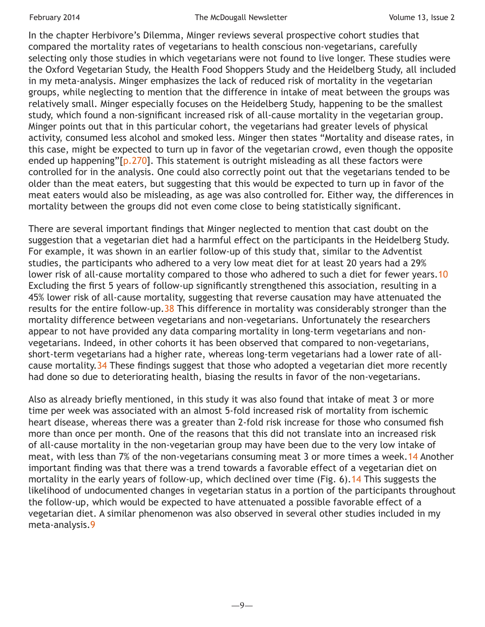In the chapter Herbivore's Dilemma, Minger reviews several prospective cohort studies that compared the mortality rates of vegetarians to health conscious non-vegetarians, carefully selecting only those studies in which vegetarians were not found to live longer. These studies were the Oxford Vegetarian Study, the Health Food Shoppers Study and the Heidelberg Study, all included in my meta-analysis. Minger emphasizes the lack of reduced risk of mortality in the vegetarian groups, while neglecting to mention that the difference in intake of meat between the groups was relatively small. Minger especially focuses on the Heidelberg Study, happening to be the smallest study, which found a non-significant increased risk of all-cause mortality in the vegetarian group. Minger points out that in this particular cohort, the vegetarians had greater levels of physical activity, consumed less alcohol and smoked less. Minger then states "Mortality and disease rates, in this case, might be expected to turn up in favor of the vegetarian crowd, even though the opposite ended up happening"[[p.270](http://books.google.com/books?isbn=0984755128)]. This statement is outright misleading as all these factors were controlled for in the analysis. One could also correctly point out that the vegetarians tended to be older than the meat eaters, but suggesting that this would be expected to turn up in favor of the meat eaters would also be misleading, as age was also controlled for. Either way, the differences in mortality between the groups did not even come close to being statistically significant.

There are several important findings that Minger neglected to mention that cast doubt on the suggestion that a vegetarian diet had a harmful effect on the participants in the Heidelberg Study. For example, it was shown in an earlier follow-up of this study that, similar to the Adventist studies, the participants who adhered to a very low meat diet for at least 20 years had a 29% lower risk of all-cause mortality compared to those who adhered to such a diet for fewer years. 10 Excluding the first 5 years of follow-up significantly strengthened this association, resulting in a 45% lower risk of all-cause mortality, suggesting that reverse causation may have attenuated the results for the entire follow-up. [38](http://www.ncbi.nlm.nih.gov/pubmed/8505178) This difference in mortality was considerably stronger than the mortality difference between vegetarians and non-vegetarians. Unfortunately the researchers appear to not have provided any data comparing mortality in long-term vegetarians and nonvegetarians. Indeed, in other cohorts it has been observed that compared to non-vegetarians, short-term vegetarians had a higher rate, whereas long-term vegetarians had a lower rate of allcause mortality.[34](http://books.google.com/books?isbn=0849385083) These findings suggest that those who adopted a vegetarian diet more recently had done so due to deteriorating health, biasing the results in favor of the non-vegetarians.

Also as already briefly mentioned, in this study it was also found that intake of meat 3 or more time per week was associated with an almost 5-fold increased risk of mortality from ischemic heart disease, whereas there was a greater than 2-fold risk increase for those who consumed fish more than once per month. One of the reasons that this did not translate into an increased risk of all-cause mortality in the non-vegetarian group may have been due to the very low intake of meat, with less than 7% of the non-vegetarians consuming meat 3 or more times a week.[14](http://cebp.aacrjournals.org/content/14/4/963.full) Another important finding was that there was a trend towards a favorable effect of a vegetarian diet on mortality in the early years of follow-up, which declined over time (Fig. 6).[14](http://cebp.aacrjournals.org/content/14/4/963.full) This suggests the likelihood of undocumented changes in vegetarian status in a portion of the participants throughout the follow-up, which would be expected to have attenuated a possible favorable effect of a vegetarian diet. A similar phenomenon was also observed in several other studies included in my meta-analysis[.9](http://books.google.com/books?isbn=0199748802)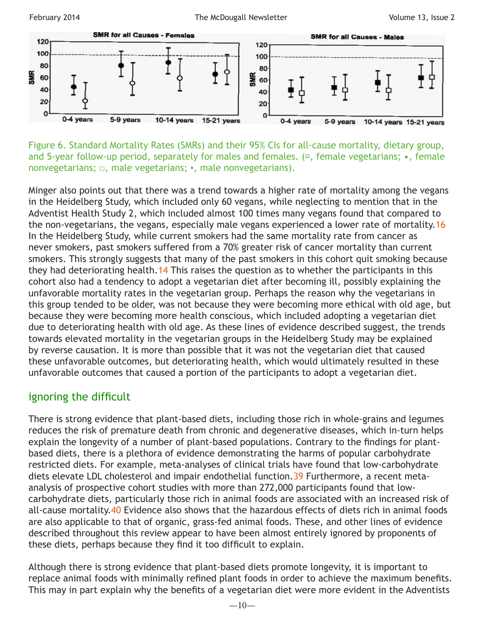

Figure 6. Standard Mortality Rates (SMRs) and their 95% CIs for all-cause mortality, dietary group, and 5-year follow-up period, separately for males and females. (□, female vegetarians; •, female nonvegetarians; □, male vegetarians; ▪, male nonvegetarians).

Minger also points out that there was a trend towards a higher rate of mortality among the vegans in the Heidelberg Study, which included only 60 vegans, while neglecting to mention that in the Adventist Health Study 2, which included almost 100 times many vegans found that compared to the non-vegetarians, the vegans, especially male vegans experienced a lower rate of mortality. 16 In the Heidelberg Study, while current smokers had the same mortality rate from cancer as never smokers, past smokers suffered from a 70% greater risk of cancer mortality than current smokers. This strongly suggests that many of the past smokers in this cohort quit smoking because they had deteriorating health.[14](http://cebp.aacrjournals.org/content/14/4/963.full) This raises the question as to whether the participants in this cohort also had a tendency to adopt a vegetarian diet after becoming ill, possibly explaining the unfavorable mortality rates in the vegetarian group. Perhaps the reason why the vegetarians in this group tended to be older, was not because they were becoming more ethical with old age, but because they were becoming more health conscious, which included adopting a vegetarian diet due to deteriorating health with old age. As these lines of evidence described suggest, the trends towards elevated mortality in the vegetarian groups in the Heidelberg Study may be explained by reverse causation. It is more than possible that it was not the vegetarian diet that caused these unfavorable outcomes, but deteriorating health, which would ultimately resulted in these unfavorable outcomes that caused a portion of the participants to adopt a vegetarian diet.

# ignoring the difficult

There is strong evidence that plant-based diets, including those rich in whole-grains and legumes reduces the risk of premature death from chronic and degenerative diseases, which in-turn helps explain the longevity of a number of plant-based populations. Contrary to the findings for plantbased diets, there is a plethora of evidence demonstrating the harms of popular carbohydrate restricted diets. For example, meta-analyses of clinical trials have found that low-carbohydrate diets elevate LDL cholesterol and impair endothelial function. [39](http://journals.cambridge.org/abstract_S000711451300216X) Furthermore, a recent metaanalysis of prospective cohort studies with more than 272,000 participants found that lowcarbohydrate diets, particularly those rich in animal foods are associated with an increased risk of all-cause mortality[.40](http://www.plosone.org/article/info%3Adoi/10.1371/journal.pone.0055030) Evidence also shows that the hazardous effects of diets rich in animal foods are also applicable to that of organic, grass-fed animal foods. These, and other lines of evidence described throughout this review appear to have been almost entirely ignored by proponents of these diets, perhaps because they find it too difficult to explain.

Although there is strong evidence that plant-based diets promote longevity, it is important to replace animal foods with minimally refined plant foods in order to achieve the maximum benefits. This may in part explain why the benefits of a vegetarian diet were more evident in the Adventists